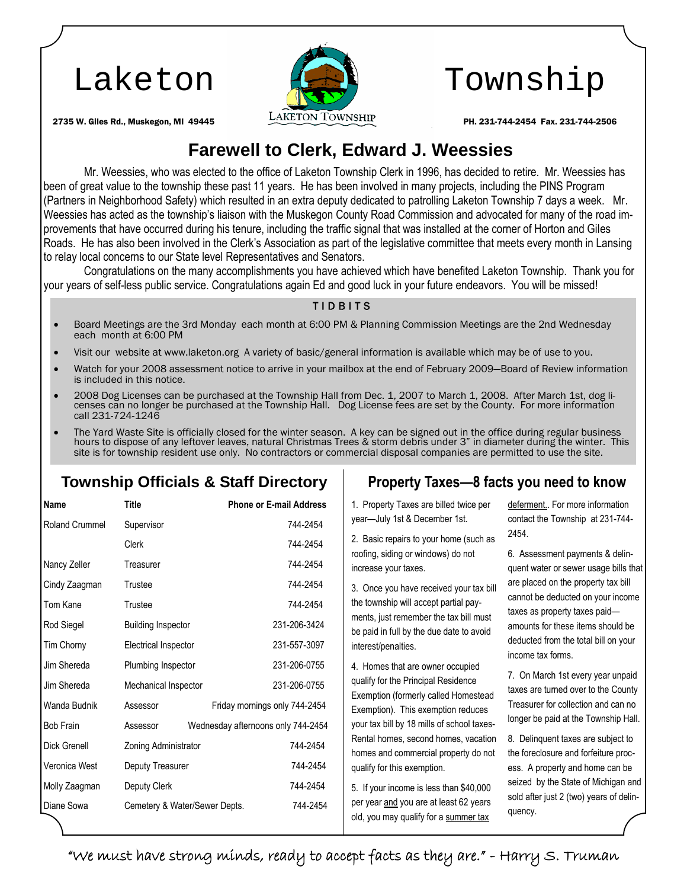

# Laketon (Call Township

## **Farewell to Clerk, Edward J. Weessies**

Mr. Weessies, who was elected to the office of Laketon Township Clerk in 1996, has decided to retire. Mr. Weessies has been of great value to the township these past 11 years. He has been involved in many projects, including the PINS Program (Partners in Neighborhood Safety) which resulted in an extra deputy dedicated to patrolling Laketon Township 7 days a week. Mr. Weessies has acted as the township's liaison with the Muskegon County Road Commission and advocated for many of the road improvements that have occurred during his tenure, including the traffic signal that was installed at the corner of Horton and Giles Roads. He has also been involved in the Clerk's Association as part of the legislative committee that meets every month in Lansing to relay local concerns to our State level Representatives and Senators.

Congratulations on the many accomplishments you have achieved which have benefited Laketon Township. Thank you for your years of self-less public service. Congratulations again Ed and good luck in your future endeavors. You will be missed!

### T I D B I T S

- Board Meetings are the 3rd Monday each month at 6:00 PM & Planning Commission Meetings are the 2nd Wednesday each month at 6:00 PM
- Visit our website at www.laketon.org A variety of basic/general information is available which may be of use to you.
- Watch for your 2008 assessment notice to arrive in your mailbox at the end of February 2009—Board of Review information is included in this notice.
- 2008 Dog Licenses can be purchased at the Township Hall from Dec. 1, 2007 to March 1, 2008. After March 1st, dog licenses can no longer be purchased at the Township Hall. Dog License fees are set by the County. For more information call 231-724-1246
- The Yard Waste Site is officially closed for the winter season. A key can be signed out in the office during regular business hours to dispose of any leftover leaves, natural Christmas Trees & storm debris under 3" in diameter during the winter. This site is for township resident use only. No contractors or commercial disposal companies are permitted to use the site.

### **Township Officials & Staff Directory Property Taxes—8 facts you need to know**

| Name                  | Title                         | <b>Phone or E-mail Address</b>     |
|-----------------------|-------------------------------|------------------------------------|
| <b>Roland Crummel</b> | Supervisor                    | 744-2454                           |
|                       | Clerk                         | 744-2454                           |
| Nancy Zeller          | Treasurer                     | 744-2454                           |
| Cindy Zaagman         | Trustee                       | 744-2454                           |
| Tom Kane              | Trustee                       | 744-2454                           |
| Rod Siegel            | <b>Building Inspector</b>     | 231-206-3424                       |
| Tim Chorny            | Electrical Inspector          | 231-557-3097                       |
| Jim Shereda           | Plumbing Inspector            | 231-206-0755                       |
| Jim Shereda           | Mechanical Inspector          | 231-206-0755                       |
| Wanda Budnik          | Assessor                      | Friday mornings only 744-2454      |
| <b>Bob Frain</b>      | Assessor                      | Wednesday afternoons only 744-2454 |
| Dick Grenell          | Zoning Administrator          | 744-2454                           |
| Veronica West         | Deputy Treasurer              | 744-2454                           |
| Molly Zaagman         | Deputy Clerk                  | 744-2454                           |
| Diane Sowa            | Cemetery & Water/Sewer Depts. | 744-2454                           |

1. Property Taxes are billed twice per year—July 1st & December 1st.

2. Basic repairs to your home (such as roofing, siding or windows) do not increase your taxes.

3. Once you have received your tax bill the township will accept partial payments, just remember the tax bill must be paid in full by the due date to avoid interest/penalties.

4. Homes that are owner occupied qualify for the Principal Residence Exemption (formerly called Homestead Exemption). This exemption reduces your tax bill by 18 mills of school taxes-Rental homes, second homes, vacation homes and commercial property do not qualify for this exemption.

5. If your income is less than \$40,000 per year and you are at least 62 years old, you may qualify for a summer tax deferment.. For more information contact the Township at 231-744- 2454.

6. Assessment payments & delinquent water or sewer usage bills that are placed on the property tax bill cannot be deducted on your income taxes as property taxes paid amounts for these items should be deducted from the total bill on your income tax forms.

7. On March 1st every year unpaid taxes are turned over to the County Treasurer for collection and can no longer be paid at the Township Hall.

8. Delinquent taxes are subject to the foreclosure and forfeiture process. A property and home can be seized by the State of Michigan and sold after just 2 (two) years of delinquency.

"We must have strong minds, ready to accept facts as they are." - Harry S. Truman